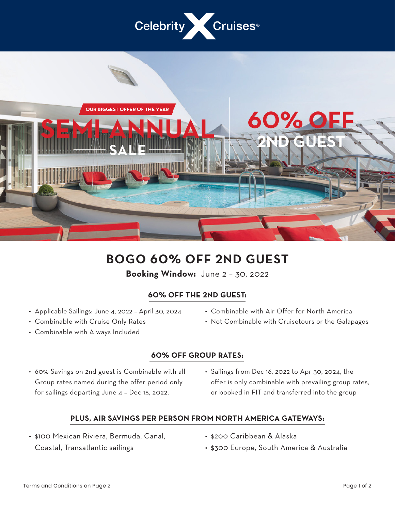



## **BOGO 60% OFF 2ND GUEST**

**Booking Window:** June 2 – 30, 2022

## **60% OFF THE 2ND GUEST:**

- Applicable Sailings: June 4, 2022 April 30, 2024
- Combinable with Cruise Only Rates
- Combinable with Always Included
- Combinable with Air Offer for North America
- Not Combinable with Cruisetours or the Galapagos

## **60% OFF GROUP RATES:**

- 60% Savings on 2nd guest is Combinable with all Group rates named during the offer period only for sailings departing June 4 – Dec 15, 2022.
- Sailings from Dec 16, 2022 to Apr 30, 2024, the offer is only combinable with prevailing group rates, or booked in FIT and transferred into the group

## **PLUS, AIR SAVINGS PER PERSON FROM NORTH AMERICA GATEWAYS:**

- \$100 Mexican Riviera, Bermuda, Canal, Coastal, Transatlantic sailings
- \$200 Caribbean & Alaska
- \$300 Europe, South America & Australia